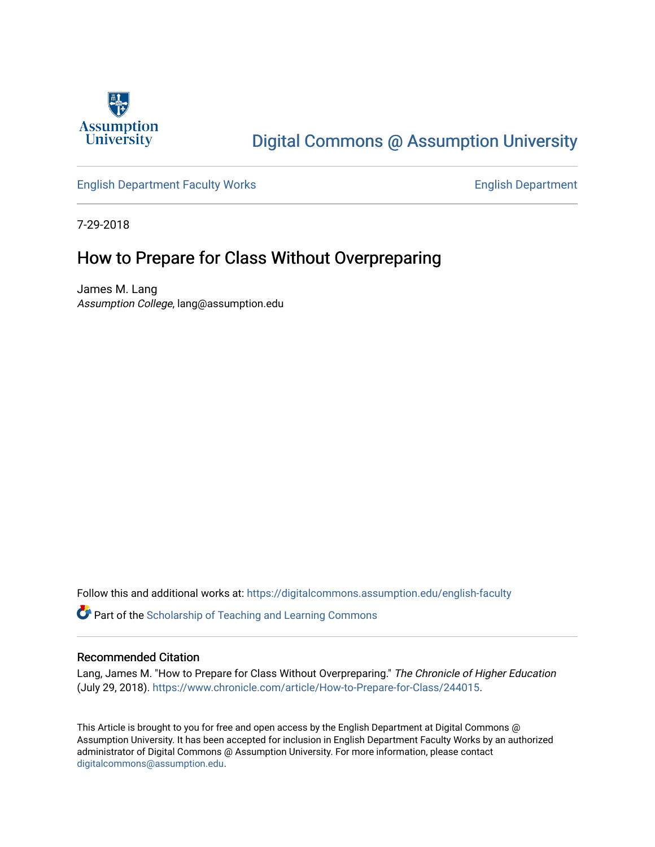

## [Digital Commons @ Assumption University](https://digitalcommons.assumption.edu/)

#### [English Department Faculty Works](https://digitalcommons.assumption.edu/english-faculty) **English Department**

7-29-2018

### How to Prepare for Class Without Overpreparing

James M. Lang Assumption College, lang@assumption.edu

Follow this and additional works at: [https://digitalcommons.assumption.edu/english-faculty](https://digitalcommons.assumption.edu/english-faculty?utm_source=digitalcommons.assumption.edu%2Fenglish-faculty%2F44&utm_medium=PDF&utm_campaign=PDFCoverPages) 

**P** Part of the Scholarship of Teaching and Learning Commons

#### Recommended Citation

Lang, James M. "How to Prepare for Class Without Overpreparing." The Chronicle of Higher Education (July 29, 2018). [https://www.chronicle.com/article/How-to-Prepare-for-Class/244015.](https://www.chronicle.com/article/How-to-Prepare-for-Class/244015)

This Article is brought to you for free and open access by the English Department at Digital Commons @ Assumption University. It has been accepted for inclusion in English Department Faculty Works by an authorized administrator of Digital Commons @ Assumption University. For more information, please contact [digitalcommons@assumption.edu](mailto:digitalcommons@assumption.edu).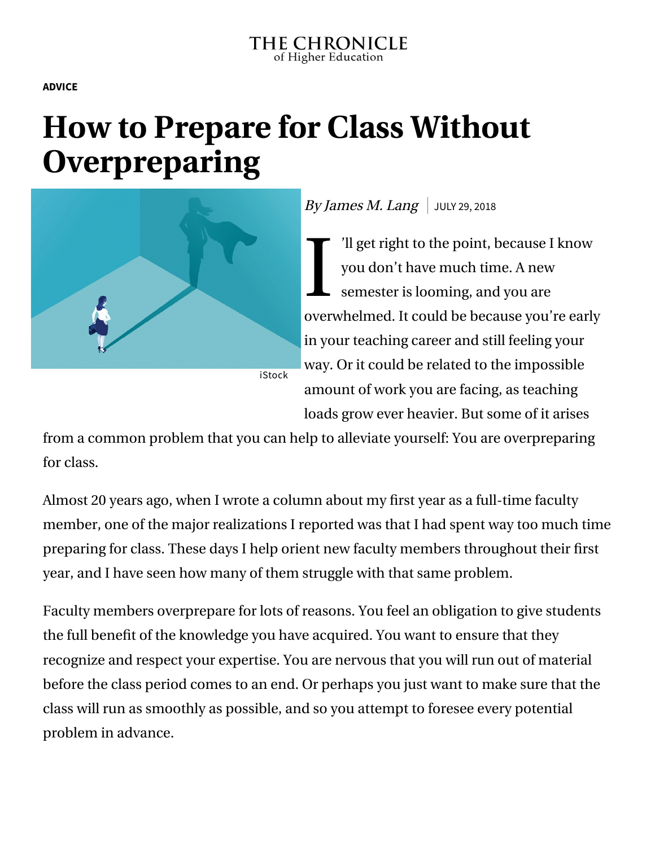**[ADVICE](https://www.chronicle.com/section/Advice/66)**

# **How to Prepare for Class Without Overpreparing**



## By James M. Lang JULY 29, 2018

I: 'll get right to the point, because I know you don't have much time. A new semester is looming, and you are overwhelmed. It could be because you're early in your teaching career and still feeling your way. Or it could be related to the impossible amount of work you are facing, as teaching loads grow ever heavier. But some of it arises

from a common problem that you can help to alleviate yourself: You are overpreparing for class.

Almost 20 years ago, when I [wrote a column](https://www.chronicle.com/article/Preparing-for-Class-Without/45552) about my first year as a full-time faculty member, one of the major realizations I reported was that I had spent way too much time preparing for class. These days I help orient new faculty members throughout their first year, and I have seen how many of them struggle with that same problem.

Faculty members overprepare for lots of reasons. You feel an obligation to give students the full benefit of the knowledge you have acquired. You want to ensure that they recognize and respect your expertise. You are nervous that you will run out of material before the class period comes to an end. Or perhaps you just want to make sure that the class will run as smoothly as possible, and so you attempt to foresee every potential problem in advance.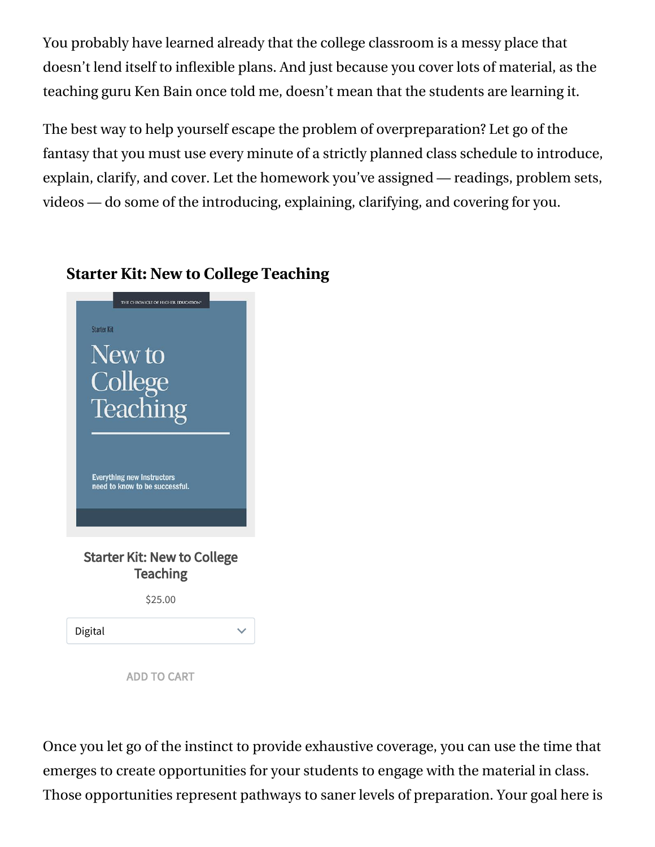You probably have learned already that the college classroom is a messy place that doesn't lend itself to inflexible plans. And just because you cover lots of material, as the teaching guru Ken Bain once told me, doesn't mean that the students are learning it.

The best way to help yourself escape the problem of overpreparation? Let go of the fantasy that you must use every minute of a strictly planned class schedule to introduce, explain, clarify, and cover. Let the homework you've assigned — readings, problem sets, videos — do some of the introducing, explaining, clarifying, and covering for you.

## **Starter Kit: New to College Teaching**



ADD TO CART

Once you let go of the instinct to provide exhaustive coverage, you can use the time that emerges to create opportunities for your students to engage with the material in class. Those opportunities represent pathways to saner levels of preparation. Your goal here is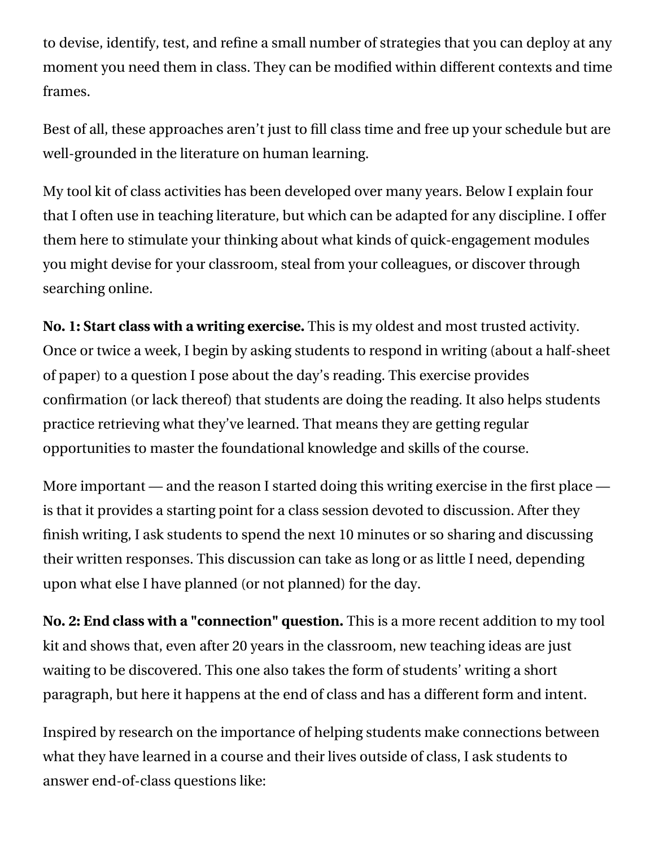to devise, identify, test, and refine a small number of strategies that you can deploy at any moment you need them in class. They can be modified within different contexts and time frames.

Best of all, these approaches aren't just to fill class time and free up your schedule but are well-grounded in the literature on human learning.

My tool kit of class activities has been developed over many years. Below I explain four that I often use in teaching literature, but which can be adapted for any discipline. I offer them here to stimulate your thinking about what kinds of quick-engagement modules you might devise for your classroom, steal from your colleagues, or discover through searching online.

**No. 1: Start class with a writing exercise.** This is my oldest and most trusted activity. Once or twice a week, I begin by asking students to respond in writing (about a half-sheet of paper) to a question I pose about the day's reading. This exercise provides confirmation (or lack thereof) that students are doing the reading. It also helps students [practice retrieving](https://www.retrievalpractice.org/) what they've learned. That means they are getting regular opportunities to master the foundational knowledge and skills of the course.

More important — and the reason I started doing this writing exercise in the first place is that it provides a starting point for a class session devoted to discussion. After they finish writing, I ask students to spend the next 10 minutes or so sharing and discussing their written responses. This discussion can take as long or as little I need, depending upon what else I have planned (or not planned) for the day.

**No. 2: End class with a "connection" question.** This is a more recent addition to my tool kit and shows that, even after 20 years in the classroom, new teaching ideas are just waiting to be discovered. This one also takes the form of students' writing a short paragraph, but here it happens at the end of class and has a different form and intent.

Inspired by research on the importance of [helping students make connections](https://www.chronicle.com/article/Small-Changes-in-Teaching-/235230) between what they have learned in a course and their lives outside of class, I ask students to answer end-of-class questions like: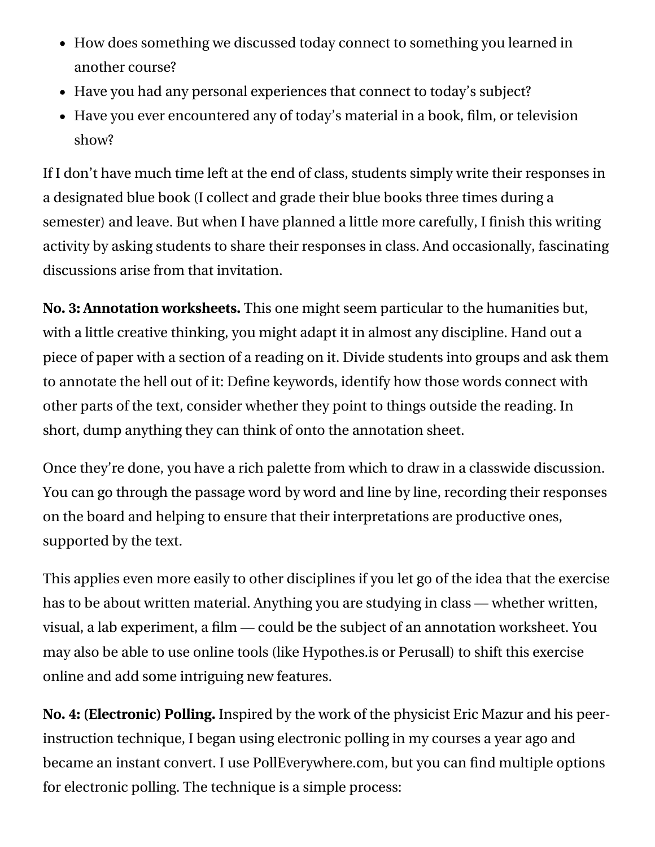- How does something we discussed today connect to something you learned in another course?
- Have you had any personal experiences that connect to today's subject?
- Have you ever encountered any of today's material in a book, film, or television show?

If I don't have much time left at the end of class, students simply write their responses in a designated blue book (I collect and grade their blue books three times during a semester) and leave. But when I have planned a little more carefully, I finish this writing activity by asking students to share their responses in class. And occasionally, fascinating discussions arise from that invitation.

**No. 3: Annotation worksheets.** This one might seem particular to the humanities but, with a little creative thinking, you might adapt it in almost any discipline. Hand out a piece of paper with a section of a reading on it. Divide students into groups and ask them to annotate the hell out of it: Define keywords, identify how those words connect with other parts of the text, consider whether they point to things outside the reading. In short, dump anything they can think of onto the annotation sheet.

Once they're done, you have a rich palette from which to draw in a classwide discussion. You can go through the passage word by word and line by line, recording their responses on the board and helping to ensure that their interpretations are productive ones, supported by the text.

This applies even more easily to other disciplines if you let go of the idea that the exercise has to be about written material. Anything you are studying in class — whether written, visual, a lab experiment, a film — could be the subject of an annotation worksheet. You may also be able to use online tools (like [Hypothes.is](https://web.hypothes.is/) or [Perusall\)](https://perusall.com/) to shift this exercise online and add some intriguing new features.

**No. 4: (Electronic) Polling.** Inspired by the work of the physicist [Eric Mazur](http://ericmazur.com/) and his peerinstruction technique, I began using electronic polling in my courses a year ago and became an [instant convert.](https://www.chronicle.com/article/How-Peer-Instruction-And/242031) I use [PollEverywhere.com,](https://www.polleverywhere.com/) but you can find multiple options for electronic polling. The technique is a simple process: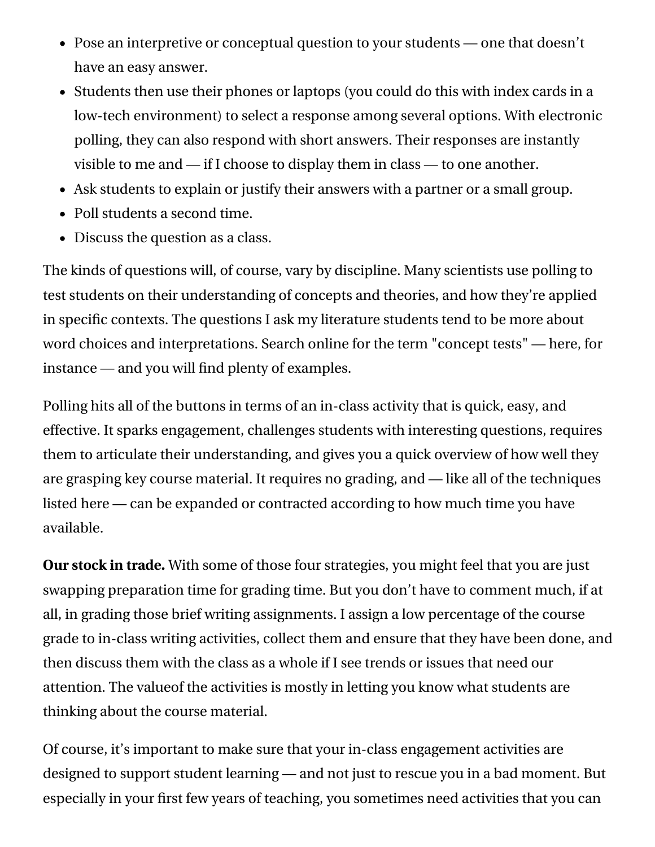- Pose an interpretive or conceptual question to your students one that doesn't have an easy answer.
- Students then use their phones or laptops (you could do this with index cards in a low-tech environment) to select a response among several options. With electronic polling, they can also respond with short answers. Their responses are instantly visible to me and — if I choose to display them in class — to one another.
- Ask students to explain or justify their answers with a partner or a small group.
- Poll students a second time.
- Discuss the question as a class.

The kinds of questions will, of course, vary by discipline. Many scientists use polling to test students on their understanding of concepts and theories, and how they're applied in specific contexts. The questions I ask my literature students tend to be more about word choices and interpretations. Search online for the term "concept tests" — [here,](https://www.cmu.edu/teaching/assessment/assesslearning/concepTests.html) for instance — and you will find plenty of examples.

Polling hits all of the buttons in terms of an in-class activity that is quick, easy, and effective. It sparks engagement, challenges students with interesting questions, requires them to articulate their understanding, and gives you a quick overview of how well they are grasping key course material. It requires no grading, and — like all of the techniques listed here — can be expanded or contracted according to how much time you have available.

**Our stock in trade.** With some of those four strategies, you might feel that you are just swapping preparation time for grading time. But you don't have to comment much, if at all, in grading those brief writing assignments. I assign a low percentage of the course grade to in-class writing activities, collect them and ensure that they have been done, and then discuss them with the class as a whole if I see trends or issues that need our attention. The valueof the activities is mostly in letting you know what students are thinking about the course material.

Of course, it's important to make sure that your in-class engagement activities are designed to support student learning — and not just to rescue you in a bad moment. But especially in your first few years of teaching, you sometimes need activities that you can